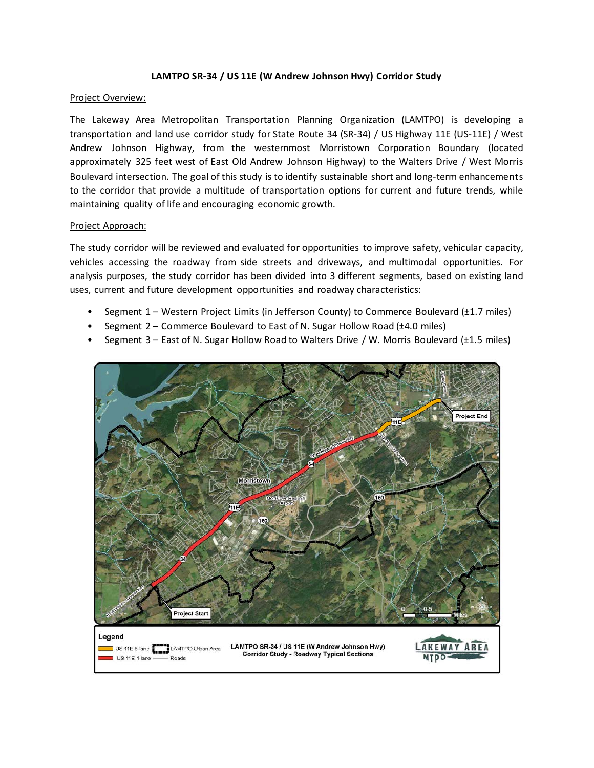## **LAMTPO SR-34 / US 11E (W Andrew Johnson Hwy) Corridor Study**

#### Project Overview:

The Lakeway Area Metropolitan Transportation Planning Organization (LAMTPO) is developing a transportation and land use corridor study for State Route 34 (SR-34) / US Highway 11E (US-11E) / West Andrew Johnson Highway, from the westernmost Morristown Corporation Boundary (located approximately 325 feet west of East Old Andrew Johnson Highway) to the Walters Drive / West Morris Boulevard intersection. The goal of this study is to identify sustainable short and long-term enhancements to the corridor that provide a multitude of transportation options for current and future trends, while maintaining quality of life and encouraging economic growth.

### Project Approach:

The study corridor will be reviewed and evaluated for opportunities to improve safety, vehicular capacity, vehicles accessing the roadway from side streets and driveways, and multimodal opportunities. For analysis purposes, the study corridor has been divided into 3 different segments, based on existing land uses, current and future development opportunities and roadway characteristics:

- Segment 1 Western Project Limits (in Jefferson County) to Commerce Boulevard (±1.7 miles)
- Segment 2 Commerce Boulevard to East of N. Sugar Hollow Road (±4.0 miles)
- Segment 3 East of N. Sugar Hollow Road to Walters Drive / W. Morris Boulevard (±1.5 miles)